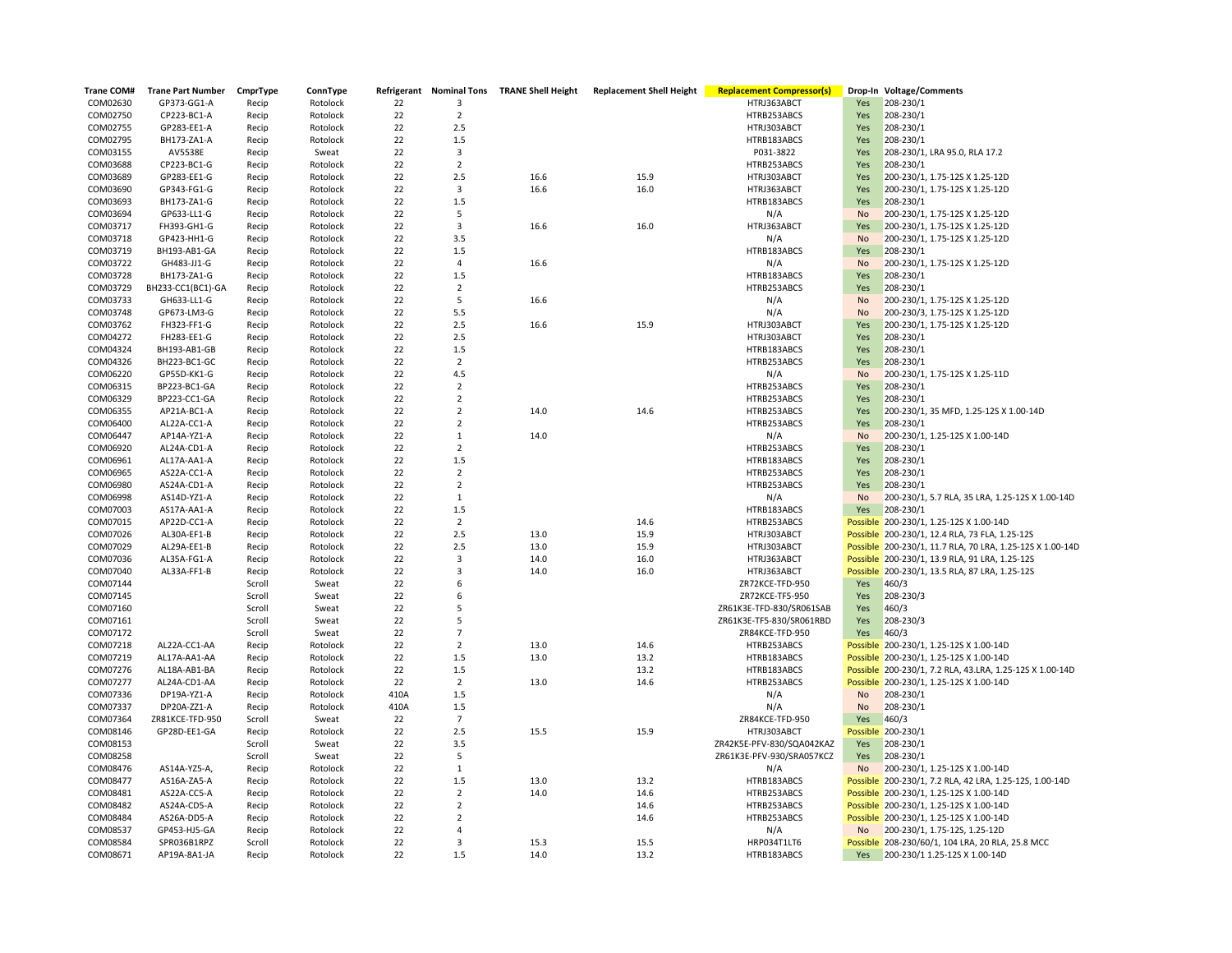| <b>Trane COM#</b> | <b>Trane Part Number</b> | CmprType | ConnType |      |                         | Refrigerant Nominal Tons TRANE Shell Height | <b>Replacement Shell Height</b> | <b>Replacement Compressor(s)</b> |           | Drop-In Voltage/Comments                                  |
|-------------------|--------------------------|----------|----------|------|-------------------------|---------------------------------------------|---------------------------------|----------------------------------|-----------|-----------------------------------------------------------|
| COM02630          | GP373-GG1-A              | Recip    | Rotolock | 22   | 3                       |                                             |                                 | HTRJ363ABCT                      | Yes       | 208-230/1                                                 |
| COM02750          | CP223-BC1-A              | Recip    | Rotolock | 22   | $\overline{2}$          |                                             |                                 | HTRB253ABCS                      | Yes       | 208-230/1                                                 |
| COM02755          | GP283-EE1-A              | Recip    | Rotolock | 22   | 2.5                     |                                             |                                 | HTRJ303ABCT                      | Yes       | 208-230/1                                                 |
| COM02795          | BH173-ZA1-A              | Recip    | Rotolock | 22   | 1.5                     |                                             |                                 | HTRB183ABCS                      | Yes       | 208-230/1                                                 |
| COM03155          | AV5538E                  | Recip    | Sweat    | 22   | 3                       |                                             |                                 | P031-3822                        | Yes       | 208-230/1, LRA 95.0, RLA 17.2                             |
| COM03688          | CP223-BC1-G              | Recip    | Rotolock | 22   | $\overline{2}$          |                                             |                                 | HTRB253ABCS                      | Yes       | 208-230/1                                                 |
| COM03689          | GP283-EE1-G              | Recip    | Rotolock | 22   | 2.5                     | 16.6                                        | 15.9                            | HTRJ303ABCT                      | Yes       | 200-230/1, 1.75-12S X 1.25-12D                            |
| COM03690          | GP343-FG1-G              | Recip    | Rotolock | 22   | $\mathbf{3}$            | 16.6                                        | 16.0                            | HTRJ363ABCT                      | Yes       | 200-230/1, 1.75-12S X 1.25-12D                            |
| COM03693          | BH173-ZA1-G              | Recip    | Rotolock | 22   | 1.5                     |                                             |                                 | HTRB183ABCS                      | Yes       | 208-230/1                                                 |
| COM03694          | GP633-LL1-G              | Recip    | Rotolock | 22   | 5                       |                                             |                                 | N/A                              | <b>No</b> | 200-230/1, 1.75-12S X 1.25-12D                            |
| COM03717          | FH393-GH1-G              | Recip    | Rotolock | 22   | 3                       | 16.6                                        | 16.0                            | HTRJ363ABCT                      | Yes       | 200-230/1, 1.75-12S X 1.25-12D                            |
| COM03718          | GP423-HH1-G              | Recip    | Rotolock | 22   | 3.5                     |                                             |                                 | N/A                              | <b>No</b> | 200-230/1, 1.75-12S X 1.25-12D                            |
| COM03719          | BH193-AB1-GA             | Recip    | Rotolock | 22   | 1.5                     |                                             |                                 | HTRB183ABCS                      | Yes       | 208-230/1                                                 |
| COM03722          | GH483-JJ1-G              | Recip    | Rotolock | 22   | $\overline{4}$          | 16.6                                        |                                 | N/A                              | No        | 200-230/1, 1.75-12S X 1.25-12D                            |
| COM03728          | BH173-ZA1-G              | Recip    | Rotolock | 22   | 1.5                     |                                             |                                 | HTRB183ABCS                      | Yes       | 208-230/1                                                 |
| COM03729          | BH233-CC1(BC1)-GA        | Recip    | Rotolock | 22   | $\overline{2}$          |                                             |                                 | HTRB253ABCS                      | Yes       | 208-230/1                                                 |
| COM03733          | GH633-LL1-G              | Recip    | Rotolock | 22   | 5                       | 16.6                                        |                                 | N/A                              | <b>No</b> | 200-230/1, 1.75-12S X 1.25-12D                            |
| COM03748          | GP673-LM3-G              | Recip    | Rotolock | 22   | 5.5                     |                                             |                                 | N/A                              | <b>No</b> | 200-230/3, 1.75-12S X 1.25-12D                            |
| COM03762          | FH323-FF1-G              | Recip    | Rotolock | 22   | 2.5                     | 16.6                                        | 15.9                            | HTRJ303ABCT                      | Yes       | 200-230/1, 1.75-12S X 1.25-12D                            |
| COM04272          | FH283-EE1-G              | Recip    | Rotolock | 22   | 2.5                     |                                             |                                 | HTRJ303ABCT                      | Yes       | 208-230/1                                                 |
| COM04324          | BH193-AB1-GB             | Recip    | Rotolock | 22   | 1.5                     |                                             |                                 | HTRB183ABCS                      | Yes       | 208-230/1                                                 |
| COM04326          | BH223-BC1-GC             | Recip    | Rotolock | 22   | $\overline{2}$          |                                             |                                 | HTRB253ABCS                      | Yes       | 208-230/1                                                 |
| COM06220          | GP55D-KK1-G              | Recip    | Rotolock | 22   | 4.5                     |                                             |                                 | N/A                              | <b>No</b> | 200-230/1, 1.75-12S X 1.25-11D                            |
| COM06315          | BP223-BC1-GA             | Recip    | Rotolock | 22   | $\overline{2}$          |                                             |                                 | HTRB253ABCS                      | Yes       | 208-230/1                                                 |
| COM06329          | BP223-CC1-GA             | Recip    | Rotolock | 22   | $\overline{2}$          |                                             |                                 | HTRB253ABCS                      | Yes       | 208-230/1                                                 |
| COM06355          | AP21A-BC1-A              | Recip    | Rotolock | 22   | $\overline{2}$          | 14.0                                        | 14.6                            | HTRB253ABCS                      | Yes       | 200-230/1, 35 MFD, 1.25-12S X 1.00-14D                    |
| COM06400          | AL22A-CC1-A              | Recip    | Rotolock | 22   | $\overline{2}$          |                                             |                                 | HTRB253ABCS                      | Yes       | 208-230/1                                                 |
| COM06447          | AP14A-YZ1-A              | Recip    | Rotolock | 22   | $\mathbf{1}$            | 14.0                                        |                                 | N/A                              | <b>No</b> | 200-230/1, 1.25-12S X 1.00-14D                            |
| COM06920          | AL24A-CD1-A              | Recip    | Rotolock | 22   | $\overline{2}$          |                                             |                                 | HTRB253ABCS                      | Yes       | 208-230/1                                                 |
| COM06961          | AL17A-AA1-A              | Recip    | Rotolock | 22   | 1.5                     |                                             |                                 | HTRB183ABCS                      | Yes       | 208-230/1                                                 |
| COM06965          | AS22A-CC1-A              | Recip    | Rotolock | 22   | $\overline{2}$          |                                             |                                 | HTRB253ABCS                      | Yes       | 208-230/1                                                 |
| COM06980          | AS24A-CD1-A              | Recip    | Rotolock | 22   | $\overline{2}$          |                                             |                                 | HTRB253ABCS                      | Yes       | 208-230/1                                                 |
| COM06998          | AS14D-YZ1-A              | Recip    | Rotolock | 22   | $\mathbf{1}$            |                                             |                                 | N/A                              | <b>No</b> | 200-230/1, 5.7 RLA, 35 LRA, 1.25-12S X 1.00-14D           |
| COM07003          | AS17A-AA1-A              | Recip    | Rotolock | 22   | 1.5                     |                                             |                                 | HTRB183ABCS                      | Yes       | 208-230/1                                                 |
| COM07015          | AP22D-CC1-A              | Recip    | Rotolock | 22   | $\overline{2}$          |                                             | 14.6                            | HTRB253ABCS                      |           | Possible 200-230/1, 1.25-12S X 1.00-14D                   |
| COM07026          | AL30A-EF1-B              | Recip    | Rotolock | 22   | 2.5                     | 13.0                                        | 15.9                            | HTRJ303ABCT                      |           | Possible 200-230/1, 12.4 RLA, 73 FLA, 1.25-12S            |
| COM07029          | AL29A-EE1-B              | Recip    | Rotolock | 22   | 2.5                     | 13.0                                        | 15.9                            | HTRJ303ABCT                      |           | Possible 200-230/1, 11.7 RLA, 70 LRA, 1.25-12S X 1.00-14D |
| COM07036          | AL35A-FG1-A              | Recip    | Rotolock | 22   | $\overline{3}$          | 14.0                                        | 16.0                            | HTRJ363ABCT                      |           | Possible 200-230/1, 13.9 RLA, 91 LRA, 1.25-12S            |
| COM07040          | AL33A-FF1-B              | Recip    | Rotolock | 22   | $\overline{\mathbf{3}}$ | 14.0                                        | 16.0                            | HTRJ363ABCT                      |           | Possible 200-230/1, 13.5 RLA, 87 LRA, 1.25-12S            |
| COM07144          |                          | Scroll   | Sweat    | 22   | 6                       |                                             |                                 | ZR72KCE-TFD-950                  | Yes       | 460/3                                                     |
| COM07145          |                          | Scroll   | Sweat    | 22   | 6                       |                                             |                                 | ZR72KCE-TF5-950                  | Yes       | 208-230/3                                                 |
| COM07160          |                          | Scroll   | Sweat    | 22   | 5                       |                                             |                                 | ZR61K3E-TFD-830/SR061SAB         | Yes       | 460/3                                                     |
| COM07161          |                          | Scroll   | Sweat    | 22   | 5                       |                                             |                                 | ZR61K3E-TF5-830/SR061RBD         | Yes       | 208-230/3                                                 |
| COM07172          |                          | Scroll   | Sweat    | 22   | $\overline{7}$          |                                             |                                 | ZR84KCE-TFD-950                  | Yes       | 460/3                                                     |
| COM07218          | AL22A-CC1-AA             | Recip    | Rotolock | 22   | $\overline{2}$          | 13.0                                        | 14.6                            | HTRB253ABCS                      |           | Possible 200-230/1, 1.25-12S X 1.00-14D                   |
| COM07219          | AL17A-AA1-AA             | Recip    | Rotolock | 22   | 1.5                     | 13.0                                        | 13.2                            | HTRB183ABCS                      |           | Possible 200-230/1, 1.25-12S X 1.00-14D                   |
| COM07276          | AL18A-AB1-BA             | Recip    | Rotolock | 22   | 1.5                     |                                             | 13.2                            | HTRB183ABCS                      |           | Possible 200-230/1, 7.2 RLA, 43.LRA, 1.25-12S X 1.00-14D  |
| COM07277          | AL24A-CD1-AA             | Recip    | Rotolock | 22   | $\overline{2}$          | 13.0                                        | 14.6                            | HTRB253ABCS                      |           | Possible 200-230/1, 1.25-12S X 1.00-14D                   |
| COM07336          | DP19A-YZ1-A              | Recip    | Rotolock | 410A | 1.5                     |                                             |                                 | N/A                              | No        | 208-230/1                                                 |
| COM07337          | DP20A-ZZ1-A              | Recip    | Rotolock | 410A | 1.5                     |                                             |                                 | N/A                              | No        | 208-230/1                                                 |
| COM07364          | ZR81KCE-TFD-950          | Scroll   | Sweat    | 22   | $\overline{7}$          |                                             |                                 | ZR84KCE-TFD-950                  | Yes       | 460/3                                                     |
| COM08146          | GP28D-EE1-GA             | Recip    | Rotolock | 22   | 2.5                     | 15.5                                        | 15.9                            | HTRJ303ABCT                      |           | Possible 200-230/1                                        |
| COM08153          |                          | Scroll   | Sweat    | 22   | 3.5                     |                                             |                                 | ZR42K5E-PFV-830/SQA042KAZ        | Yes       | 208-230/1                                                 |
| COM08258          |                          | Scroll   | Sweat    | 22   | 5                       |                                             |                                 | ZR61K3E-PFV-930/SRA057KCZ        | Yes       | 208-230/1                                                 |
| COM08476          | AS14A-YZ5-A,             | Recip    | Rotolock | 22   | $\mathbf{1}$            |                                             |                                 | N/A                              | <b>No</b> | 200-230/1, 1.25-12S X 1.00-14D                            |
| COM08477          | AS16A-ZA5-A              | Recip    | Rotolock | 22   | 1.5                     | 13.0                                        | 13.2                            | HTRB183ABCS                      |           | Possible 200-230/1, 7.2 RLA, 42 LRA, 1.25-12S, 1.00-14D   |
| COM08481          | AS22A-CC5-A              | Recip    | Rotolock | 22   | $\overline{2}$          | 14.0                                        | 14.6                            | HTRB253ABCS                      |           | Possible 200-230/1, 1.25-12S X 1.00-14D                   |
| COM08482          | AS24A-CD5-A              | Recip    | Rotolock | 22   | $\overline{2}$          |                                             | 14.6                            | HTRB253ABCS                      |           | Possible 200-230/1, 1.25-12S X 1.00-14D                   |
| COM08484          | AS26A-DD5-A              | Recip    | Rotolock | 22   | $\overline{2}$          |                                             | 14.6                            | HTRB253ABCS                      |           | Possible 200-230/1, 1.25-12S X 1.00-14D                   |
| COM08537          | GP453-HJ5-GA             | Recip    | Rotolock | 22   | $\overline{4}$          |                                             |                                 | N/A                              | <b>No</b> | 200-230/1, 1.75-12S, 1.25-12D                             |
| COM08584          | SPR036B1RPZ              | Scroll   | Rotolock | 22   | 3                       | 15.3                                        | 15.5                            | HRP034T1LT6                      |           | Possible 208-230/60/1, 104 LRA, 20 RLA, 25.8 MCC          |
| COM08671          | AP19A-8A1-JA             | Recip    | Rotolock | 22   | 1.5                     | 14.0                                        | 13.2                            | HTRB183ABCS                      | Yes       | 200-230/1 1.25-12S X 1.00-14D                             |
|                   |                          |          |          |      |                         |                                             |                                 |                                  |           |                                                           |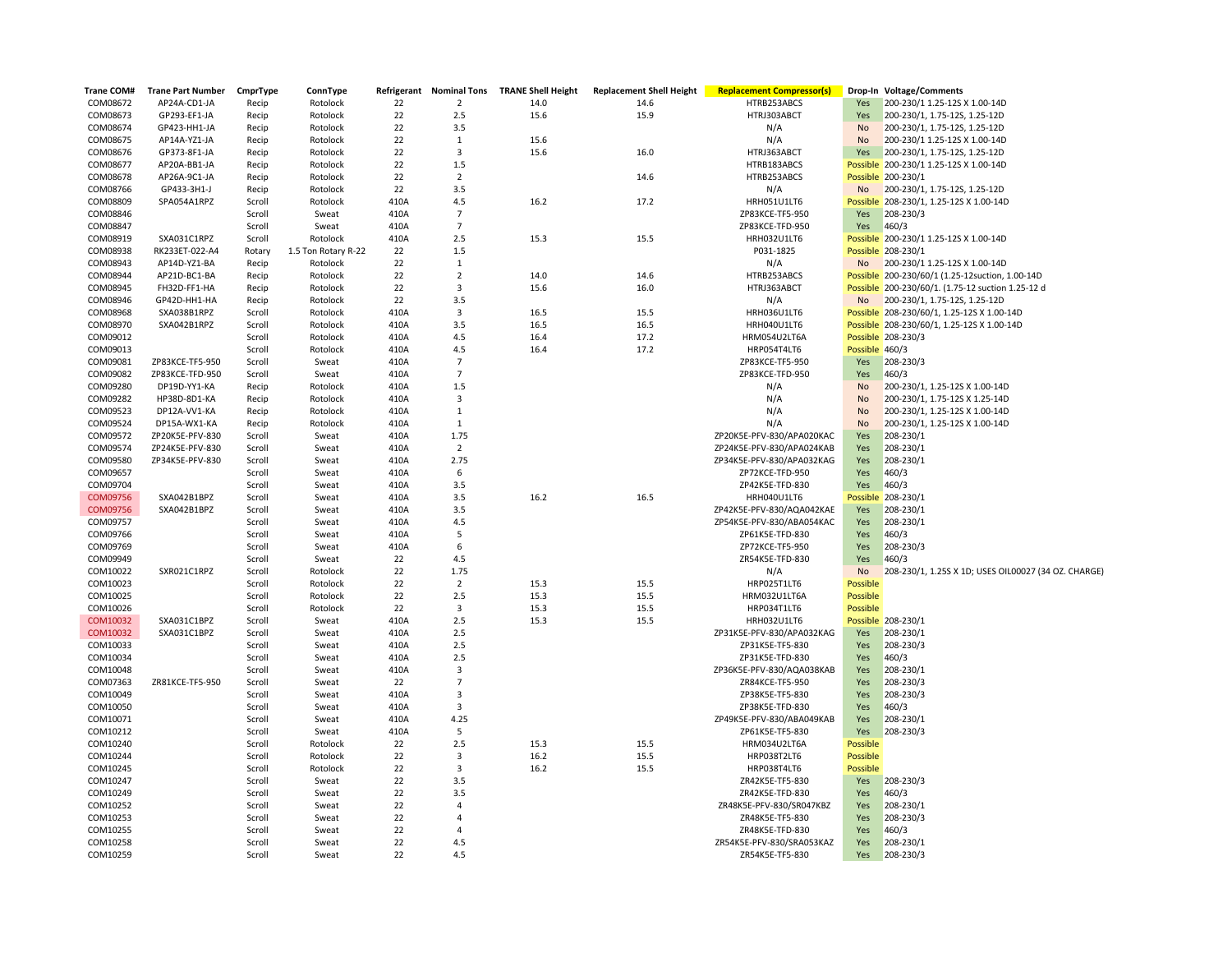| Trane COM# | <b>Trane Part Number</b> | CmprType | ConnType            | Refrigerant | <b>Nominal Tons</b> | <b>TRANE Shell Height</b> | <b>Replacement Shell Height</b> | <b>Replacement Compressor(s)</b>   |                | Drop-In Voltage/Comments                             |
|------------|--------------------------|----------|---------------------|-------------|---------------------|---------------------------|---------------------------------|------------------------------------|----------------|------------------------------------------------------|
| COM08672   | AP24A-CD1-JA             | Recip    | Rotolock            | 22          | $\overline{2}$      | 14.0                      | 14.6                            | HTRB253ABCS                        | Yes            | 200-230/1 1.25-12S X 1.00-14D                        |
| COM08673   | GP293-EF1-JA             | Recip    | Rotolock            | 22          | 2.5                 | 15.6                      | 15.9                            | HTRJ303ABCT                        | Yes            | 200-230/1, 1.75-12S, 1.25-12D                        |
| COM08674   | GP423-HH1-JA             | Recip    | Rotolock            | 22          | 3.5                 |                           |                                 | N/A                                | No             | 200-230/1, 1.75-12S, 1.25-12D                        |
| COM08675   | AP14A-YZ1-JA             | Recip    | Rotolock            | 22          | 1                   | 15.6                      |                                 | N/A                                | <b>No</b>      | 200-230/1 1.25-12S X 1.00-14D                        |
| COM08676   | GP373-8F1-JA             | Recip    | Rotolock            | 22          | $\overline{3}$      | 15.6                      | 16.0                            | HTRJ363ABCT                        | Yes            | 200-230/1, 1.75-12S, 1.25-12D                        |
| COM08677   | AP20A-BB1-JA             | Recip    | Rotolock            | 22          | $1.5$               |                           |                                 | HTRB183ABCS                        |                | Possible 200-230/1 1.25-12S X 1.00-14D               |
| COM08678   | AP26A-9C1-JA             | Recip    | Rotolock            | 22          | $\overline{2}$      |                           | 14.6                            | HTRB253ABCS                        |                | Possible 200-230/1                                   |
| COM08766   | GP433-3H1-J              | Recip    | Rotolock            | 22          | 3.5                 |                           |                                 | N/A                                | No             | 200-230/1, 1.75-12S, 1.25-12D                        |
| COM08809   | SPA054A1RPZ              | Scroll   | Rotolock            | 410A        | 4.5                 | 16.2                      | 17.2                            | HRH051U1LT6                        |                | Possible 208-230/1, 1.25-12S X 1.00-14D              |
| COM08846   |                          | Scroll   | Sweat               | 410A        | $\overline{7}$      |                           |                                 | ZP83KCE-TF5-950                    | Yes            | 208-230/3                                            |
| COM08847   |                          | Scroll   | Sweat               | 410A        | $\overline{7}$      |                           |                                 | ZP83KCE-TFD-950                    | Yes            | 460/3                                                |
| COM08919   | SXA031C1RPZ              | Scroll   | Rotolock            | 410A        | 2.5                 | 15.3                      | 15.5                            | HRH032U1LT6                        |                | Possible 200-230/1 1.25-12S X 1.00-14D               |
| COM08938   | RK233ET-022-A4           | Rotary   | 1.5 Ton Rotary R-22 | 22          | $1.5$               |                           |                                 | P031-1825                          |                | Possible 208-230/1                                   |
| COM08943   | AP14D-YZ1-BA             | Recip    | Rotolock            | 22          | $\mathbf{1}$        |                           |                                 | N/A                                | No             | 200-230/1 1.25-12S X 1.00-14D                        |
| COM08944   | AP21D-BC1-BA             | Recip    | Rotolock            | 22          | $\overline{2}$      | 14.0                      | 14.6                            | HTRB253ABCS                        |                | Possible 200-230/60/1 (1.25-12suction, 1.00-14D      |
| COM08945   | FH32D-FF1-HA             | Recip    | Rotolock            | 22          | 3                   | 15.6                      | 16.0                            | HTRJ363ABCT                        |                | Possible 200-230/60/1. (1.75-12 suction 1.25-12 d    |
| COM08946   | GP42D-HH1-HA             | Recip    | Rotolock            | 22          | 3.5                 |                           |                                 | N/A                                | No             | 200-230/1, 1.75-12S, 1.25-12D                        |
| COM08968   | SXA038B1RPZ              | Scroll   | Rotolock            | 410A        | $\overline{3}$      | 16.5                      | 15.5                            | HRH036U1LT6                        |                | Possible 208-230/60/1, 1.25-12S X 1.00-14D           |
| COM08970   | SXA042B1RPZ              | Scroll   | Rotolock            | 410A        | 3.5                 | 16.5                      | 16.5                            | HRH040U1LT6                        |                | Possible 208-230/60/1, 1.25-12S X 1.00-14D           |
| COM09012   |                          | Scroll   | Rotolock            | 410A        | 4.5                 | 16.4                      | 17.2                            | HRM054U2LT6A                       |                | Possible 208-230/3                                   |
| COM09013   |                          | Scroll   | Rotolock            | 410A        | 4.5                 | 16.4                      | 17.2                            | HRP054T4LT6                        | Possible 460/3 |                                                      |
| COM09081   | ZP83KCE-TF5-950          | Scroll   | Sweat               | 410A        | $\overline{7}$      |                           |                                 | ZP83KCE-TF5-950                    | Yes            | 208-230/3                                            |
| COM09082   | ZP83KCE-TFD-950          | Scroll   | Sweat               | 410A        | $\overline{7}$      |                           |                                 | ZP83KCE-TFD-950                    | Yes            | 460/3                                                |
| COM09280   | DP19D-YY1-KA             | Recip    | Rotolock            | 410A        | 1.5                 |                           |                                 | N/A                                | No             | 200-230/1, 1.25-12S X 1.00-14D                       |
| COM09282   | HP38D-8D1-KA             | Recip    | Rotolock            | 410A        | 3                   |                           |                                 | N/A                                | <b>No</b>      | 200-230/1, 1.75-12S X 1.25-14D                       |
| COM09523   | DP12A-VV1-KA             | Recip    | Rotolock            | 410A        | $\mathbf{1}$        |                           |                                 | N/A                                | <b>No</b>      | 200-230/1, 1.25-12S X 1.00-14D                       |
| COM09524   | DP15A-WX1-KA             | Recip    | Rotolock            | 410A        | 1                   |                           |                                 | N/A                                | <b>No</b>      | 200-230/1, 1.25-12S X 1.00-14D                       |
| COM09572   | ZP20K5E-PFV-830          | Scroll   | Sweat               | 410A        | 1.75                |                           |                                 | ZP20K5E-PFV-830/APA020KAC          | Yes            | 208-230/1                                            |
| COM09574   | ZP24K5E-PFV-830          | Scroll   | Sweat               | 410A        | $\overline{2}$      |                           |                                 | ZP24K5E-PFV-830/APA024KAB          | Yes            | 208-230/1                                            |
| COM09580   | ZP34K5E-PFV-830          | Scroll   | Sweat               | 410A        | 2.75                |                           |                                 | ZP34K5E-PFV-830/APA032KAG          | Yes            | 208-230/1                                            |
| COM09657   |                          | Scroll   | Sweat               | 410A        | 6                   |                           |                                 | ZP72KCE-TFD-950                    | Yes            | 460/3                                                |
| COM09704   |                          | Scroll   | Sweat               | 410A        | 3.5                 |                           |                                 | ZP42K5E-TFD-830                    | Yes            | 460/3                                                |
| COM09756   | SXA042B1BPZ              | Scroll   | Sweat               | 410A        | 3.5                 | 16.2                      | 16.5                            | HRH040U1LT6                        | Possible       | 208-230/1                                            |
| COM09756   | SXA042B1BPZ              | Scroll   | Sweat               | 410A        | 3.5                 |                           |                                 | ZP42K5E-PFV-830/AQA042KAE          | Yes            | 208-230/1                                            |
| COM09757   |                          | Scroll   | Sweat               | 410A        | 4.5                 |                           |                                 | ZP54K5E-PFV-830/ABA054KAC          | Yes            | 208-230/1                                            |
| COM09766   |                          | Scroll   | Sweat               | 410A        | 5                   |                           |                                 | ZP61K5E-TFD-830                    | Yes            | 460/3                                                |
| COM09769   |                          | Scroll   | Sweat               | 410A        | 6                   |                           |                                 | ZP72KCE-TF5-950                    | Yes            | 208-230/3                                            |
| COM09949   |                          | Scroll   | Sweat               | 22          | 4.5                 |                           |                                 | ZR54K5E-TFD-830                    | Yes            | 460/3                                                |
| COM10022   | SXR021C1RPZ              | Scroll   | Rotolock            | 22          | 1.75                |                           |                                 | N/A                                | No             | 208-230/1, 1.25S X 1D; USES OIL00027 (34 OZ. CHARGE) |
| COM10023   |                          | Scroll   | Rotolock            | 22          | $\overline{2}$      | 15.3                      | 15.5                            | HRP025T1LT6                        | Possible       |                                                      |
| COM10025   |                          | Scroll   | Rotolock            | 22          | 2.5                 | 15.3                      | 15.5                            | HRM032U1LT6A                       | Possible       |                                                      |
| COM10026   |                          | Scroll   | Rotolock            | 22          | 3                   | 15.3                      | 15.5                            | HRP034T1LT6                        | Possible       |                                                      |
| COM10032   | SXA031C1BPZ              | Scroll   | Sweat               | 410A        | 2.5                 | 15.3                      | 15.5                            | HRH032U1LT6                        |                | Possible 208-230/1                                   |
| COM10032   | SXA031C1BPZ              | Scroll   | Sweat               | 410A        | 2.5                 |                           |                                 | ZP31K5E-PFV-830/APA032KAG          | Yes            | 208-230/1                                            |
| COM10033   |                          | Scroll   | Sweat               | 410A        | 2.5                 |                           |                                 | ZP31K5E-TF5-830                    | Yes            | 208-230/3                                            |
| COM10034   |                          | Scroll   | Sweat               | 410A        | 2.5                 |                           |                                 | ZP31K5E-TFD-830                    | Yes            | 460/3                                                |
| COM10048   |                          | Scroll   | Sweat               | 410A        | 3                   |                           |                                 | ZP36K5E-PFV-830/AQA038KAB          | Yes            | 208-230/1                                            |
| COM07363   | ZR81KCE-TF5-950          | Scroll   | Sweat               | 22          | $\overline{7}$      |                           |                                 | ZR84KCE-TF5-950                    | Yes            | 208-230/3                                            |
| COM10049   |                          | Scroll   | Sweat               | 410A        | $\overline{3}$      |                           |                                 | ZP38K5E-TF5-830                    | Yes            | 208-230/3                                            |
| COM10050   |                          | Scroll   | Sweat               | 410A        | $\overline{3}$      |                           |                                 | ZP38K5E-TFD-830                    | Yes            | 460/3                                                |
| COM10071   |                          | Scroll   | Sweat               | 410A        | 4.25                |                           |                                 | ZP49K5E-PFV-830/ABA049KAB          | Yes            | 208-230/1                                            |
| COM10212   |                          | Scroll   | Sweat               | 410A        | 5                   |                           |                                 | ZP61K5E-TF5-830                    | Yes            | 208-230/3                                            |
| COM10240   |                          | Scroll   | Rotolock            | 22          | 2.5                 | 15.3                      | 15.5                            | HRM034U2LT6A                       | Possible       |                                                      |
| COM10244   |                          | Scroll   | Rotolock            | 22          | $\overline{3}$      | 16.2                      | 15.5                            | HRP038T2LT6                        | Possible       |                                                      |
| COM10245   |                          | Scroll   | Rotolock            | 22          | 3                   | 16.2                      | 15.5                            | HRP038T4LT6                        | Possible       |                                                      |
|            |                          |          |                     |             |                     |                           |                                 |                                    |                |                                                      |
| COM10247   |                          | Scroll   | Sweat               | 22<br>22    | 3.5<br>3.5          |                           |                                 | ZR42K5E-TF5-830<br>ZR42K5E-TFD-830 | Yes            | 208-230/3<br>460/3                                   |
| COM10249   |                          | Scroll   | Sweat               | 22          | $\overline{4}$      |                           |                                 |                                    | Yes            |                                                      |
| COM10252   |                          | Scroll   | Sweat               | 22          | $\overline{4}$      |                           |                                 | ZR48K5E-PFV-830/SR047KBZ           | Yes            | 208-230/1                                            |
| COM10253   |                          | Scroll   | Sweat               | 22          | $\overline{4}$      |                           |                                 | ZR48K5E-TF5-830                    | Yes<br>Yes     | 208-230/3                                            |
| COM10255   |                          | Scroll   | Sweat               |             |                     |                           |                                 | ZR48K5E-TFD-830                    |                | 460/3                                                |
| COM10258   |                          | Scroll   | Sweat               | 22<br>22    | 4.5                 |                           |                                 | ZR54K5E-PFV-830/SRA053KAZ          | Yes            | 208-230/1                                            |
| COM10259   |                          | Scroll   | Sweat               |             | 4.5                 |                           |                                 | ZR54K5E-TF5-830                    | Yes            | 208-230/3                                            |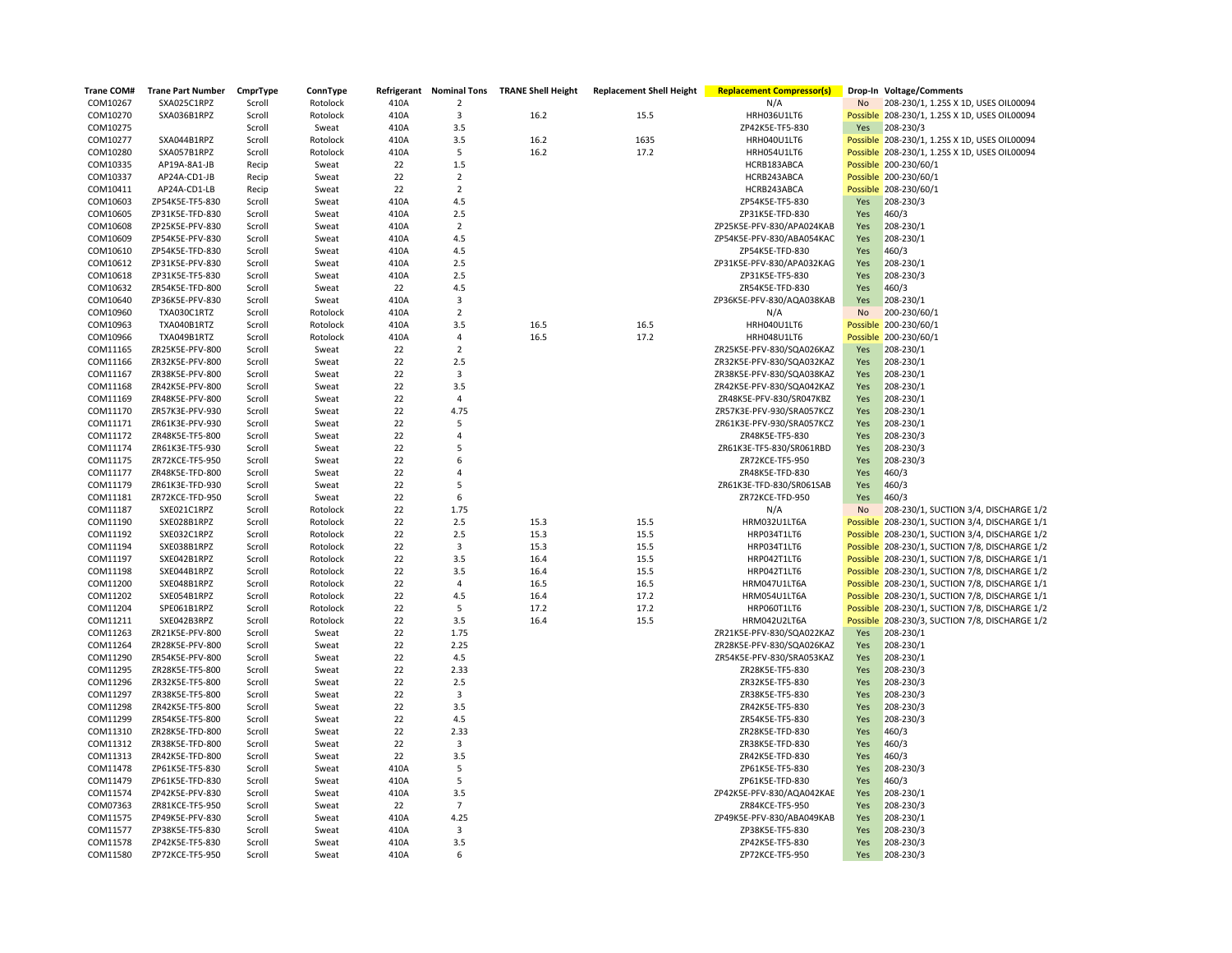| Trane COM# | <b>Trane Part Number</b> | CmprType | ConnType |          |                         | Refrigerant Nominal Tons TRANE Shell Height | <b>Replacement Shell Height</b> | <b>Replacement Compressor(s)</b> |            | Drop-In Voltage/Comments                       |
|------------|--------------------------|----------|----------|----------|-------------------------|---------------------------------------------|---------------------------------|----------------------------------|------------|------------------------------------------------|
| COM10267   | SXA025C1RPZ              | Scroll   | Rotolock | 410A     | $\overline{2}$          |                                             |                                 | N/A                              | No         | 208-230/1, 1.25S X 1D, USES OIL00094           |
| COM10270   | SXA036B1RPZ              | Scroll   | Rotolock | 410A     | 3                       | 16.2                                        | 15.5                            | HRH036U1LT6                      |            | Possible 208-230/1, 1.25S X 1D, USES OIL00094  |
| COM10275   |                          | Scroll   | Sweat    | 410A     | 3.5                     |                                             |                                 | ZP42K5E-TF5-830                  | Yes        | 208-230/3                                      |
| COM10277   | SXA044B1RPZ              | Scroll   | Rotolock | 410A     | 3.5                     | 16.2                                        | 1635                            | HRH040U1LT6                      |            | Possible 208-230/1, 1.25S X 1D, USES OIL00094  |
| COM10280   | SXA057B1RPZ              | Scroll   | Rotolock | 410A     | 5                       | 16.2                                        | 17.2                            | HRH054U1LT6                      |            | Possible 208-230/1, 1.25S X 1D, USES OIL00094  |
| COM10335   | AP19A-8A1-JB             | Recip    | Sweat    | 22       | 1.5                     |                                             |                                 | HCRB183ABCA                      |            | Possible 200-230/60/1                          |
| COM10337   | AP24A-CD1-JB             | Recip    | Sweat    | 22       | $\overline{2}$          |                                             |                                 | HCRB243ABCA                      |            | Possible 200-230/60/1                          |
| COM10411   | AP24A-CD1-LB             | Recip    | Sweat    | 22       | $\overline{2}$          |                                             |                                 | HCRB243ABCA                      |            | Possible 208-230/60/1                          |
| COM10603   | ZP54K5E-TF5-830          | Scroll   | Sweat    | 410A     | 4.5                     |                                             |                                 | ZP54K5E-TF5-830                  | Yes        | 208-230/3                                      |
| COM10605   | ZP31K5E-TFD-830          | Scroll   | Sweat    | 410A     | 2.5                     |                                             |                                 | ZP31K5E-TFD-830                  | Yes        | 460/3                                          |
| COM10608   | ZP25K5E-PFV-830          | Scroll   | Sweat    | 410A     | $\overline{2}$          |                                             |                                 | ZP25K5E-PFV-830/APA024KAB        | Yes        | 208-230/1                                      |
| COM10609   | ZP54K5E-PFV-830          | Scroll   | Sweat    | 410A     | 4.5                     |                                             |                                 | ZP54K5E-PFV-830/ABA054KAC        | Yes        | 208-230/1                                      |
| COM10610   | ZP54K5E-TFD-830          | Scroll   | Sweat    | 410A     | 4.5                     |                                             |                                 | ZP54K5E-TFD-830                  | Yes        | 460/3                                          |
| COM10612   | ZP31K5E-PFV-830          | Scroll   | Sweat    | 410A     | 2.5                     |                                             |                                 | ZP31K5E-PFV-830/APA032KAG        | Yes        | 208-230/1                                      |
| COM10618   | ZP31K5E-TF5-830          | Scroll   | Sweat    | 410A     | 2.5                     |                                             |                                 | ZP31K5E-TF5-830                  | Yes        | 208-230/3                                      |
| COM10632   | ZR54K5E-TFD-800          | Scroll   | Sweat    | 22       | 4.5                     |                                             |                                 | ZR54K5E-TFD-830                  | Yes        | 460/3                                          |
| COM10640   | ZP36K5E-PFV-830          | Scroll   | Sweat    | 410A     | 3                       |                                             |                                 | ZP36K5E-PFV-830/AQA038KAB        | Yes        | 208-230/1                                      |
| COM10960   | TXA030C1RTZ              | Scroll   | Rotolock | 410A     | $\overline{2}$          |                                             |                                 | N/A                              | No         | 200-230/60/1                                   |
| COM10963   | TXA040B1RTZ              | Scroll   | Rotolock | 410A     | 3.5                     | 16.5                                        | 16.5                            | HRH040U1LT6                      |            | Possible 200-230/60/1                          |
| COM10966   | TXA049B1RTZ              | Scroll   | Rotolock | 410A     | 4                       | 16.5                                        | 17.2                            | HRH048U1LT6                      |            | Possible 200-230/60/1                          |
| COM11165   | ZR25K5E-PFV-800          | Scroll   | Sweat    | 22       | $\overline{2}$          |                                             |                                 | ZR25K5E-PFV-830/SQA026KAZ        | Yes        | 208-230/1                                      |
| COM11166   | ZR32K5E-PFV-800          | Scroll   | Sweat    | 22       | 2.5                     |                                             |                                 | ZR32K5E-PFV-830/SQA032KAZ        | Yes        | 208-230/1                                      |
| COM11167   | ZR38K5E-PFV-800          | Scroll   | Sweat    | 22       | 3                       |                                             |                                 | ZR38K5E-PFV-830/SQA038KAZ        | Yes        | 208-230/1                                      |
| COM11168   | ZR42K5E-PFV-800          | Scroll   | Sweat    | 22       | 3.5                     |                                             |                                 | ZR42K5E-PFV-830/SQA042KAZ        | Yes        | 208-230/1                                      |
| COM11169   | ZR48K5E-PFV-800          | Scroll   | Sweat    | 22       | $\overline{4}$          |                                             |                                 | ZR48K5E-PFV-830/SR047KBZ         | Yes        | 208-230/1                                      |
| COM11170   | ZR57K3E-PFV-930          | Scroll   | Sweat    | 22       | 4.75                    |                                             |                                 | ZR57K3E-PFV-930/SRA057KCZ        | Yes        |                                                |
| COM11171   | ZR61K3E-PFV-930          | Scroll   | Sweat    | 22       | 5                       |                                             |                                 | ZR61K3E-PFV-930/SRA057KCZ        | Yes        | 208-230/1<br>208-230/1                         |
| COM11172   | ZR48K5E-TF5-800          |          |          | 22       | $\overline{4}$          |                                             |                                 | ZR48K5E-TF5-830                  |            |                                                |
| COM11174   |                          | Scroll   | Sweat    | 22       | 5                       |                                             |                                 |                                  | Yes        | 208-230/3                                      |
|            | ZR61K3E-TF5-930          | Scroll   | Sweat    | 22       | 6                       |                                             |                                 | ZR61K3E-TF5-830/SR061RBD         | Yes<br>Yes | 208-230/3                                      |
| COM11175   | ZR72KCE-TF5-950          | Scroll   | Sweat    |          | $\overline{4}$          |                                             |                                 | ZR72KCE-TF5-950                  |            | 208-230/3                                      |
| COM11177   | ZR48K5E-TFD-800          | Scroll   | Sweat    | 22       |                         |                                             |                                 | ZR48K5E-TFD-830                  | Yes        | 460/3                                          |
| COM11179   | ZR61K3E-TFD-930          | Scroll   | Sweat    | 22       | 5                       |                                             |                                 | ZR61K3E-TFD-830/SR061SAB         | Yes        | 460/3                                          |
| COM11181   | ZR72KCE-TFD-950          | Scroll   | Sweat    | 22       | 6                       |                                             |                                 | ZR72KCE-TFD-950                  | Yes        | 460/3                                          |
| COM11187   | SXE021C1RPZ              | Scroll   | Rotolock | 22       | 1.75                    |                                             |                                 | N/A                              | <b>No</b>  | 208-230/1, SUCTION 3/4, DISCHARGE 1/2          |
| COM11190   | SXE028B1RPZ              | Scroll   | Rotolock | 22       | 2.5                     | 15.3                                        | 15.5                            | HRM032U1LT6A                     |            | Possible 208-230/1, SUCTION 3/4, DISCHARGE 1/1 |
| COM11192   | SXE032C1RPZ              | Scroll   | Rotolock | 22<br>22 | 2.5                     | 15.3                                        | 15.5                            | HRP034T1LT6                      |            | Possible 208-230/1, SUCTION 3/4, DISCHARGE 1/2 |
| COM11194   | SXE038B1RPZ              | Scroll   | Rotolock |          | $\overline{\mathbf{3}}$ | 15.3                                        | 15.5                            | HRP034T1LT6                      |            | Possible 208-230/1, SUCTION 7/8, DISCHARGE 1/2 |
| COM11197   | SXE042B1RPZ              | Scroll   | Rotolock | 22       | 3.5                     | 16.4                                        | 15.5                            | HRP042T1LT6                      |            | Possible 208-230/1, SUCTION 7/8, DISCHARGE 1/1 |
| COM11198   | SXE044B1RPZ              | Scroll   | Rotolock | 22       | 3.5                     | 16.4                                        | 15.5                            | HRP042T1LT6                      |            | Possible 208-230/1, SUCTION 7/8, DISCHARGE 1/2 |
| COM11200   | SXE048B1RPZ              | Scroll   | Rotolock | 22       | 4                       | 16.5                                        | 16.5                            | HRM047U1LT6A                     |            | Possible 208-230/1, SUCTION 7/8, DISCHARGE 1/1 |
| COM11202   | SXE054B1RPZ              | Scroll   | Rotolock | 22       | 4.5                     | 16.4                                        | 17.2                            | HRM054U1LT6A                     |            | Possible 208-230/1, SUCTION 7/8, DISCHARGE 1/1 |
| COM11204   | SPE061B1RPZ              | Scroll   | Rotolock | 22       | 5                       | 17.2                                        | 17.2                            | HRP060T1LT6                      |            | Possible 208-230/1, SUCTION 7/8, DISCHARGE 1/2 |
| COM11211   | SXE042B3RPZ              | Scroll   | Rotolock | 22       | 3.5                     | 16.4                                        | 15.5                            | HRM042U2LT6A                     |            | Possible 208-230/3, SUCTION 7/8, DISCHARGE 1/2 |
| COM11263   | ZR21K5E-PFV-800          | Scroll   | Sweat    | 22       | 1.75                    |                                             |                                 | ZR21K5E-PFV-830/SQA022KAZ        | Yes        | 208-230/1                                      |
| COM11264   | ZR28K5E-PFV-800          | Scroll   | Sweat    | 22       | 2.25                    |                                             |                                 | ZR28K5E-PFV-830/SQA026KAZ        | Yes        | 208-230/1                                      |
| COM11290   | ZR54K5E-PFV-800          | Scroll   | Sweat    | 22       | 4.5                     |                                             |                                 | ZR54K5E-PFV-830/SRA053KAZ        | Yes        | 208-230/1                                      |
| COM11295   | ZR28K5E-TF5-800          | Scroll   | Sweat    | 22       | 2.33                    |                                             |                                 | ZR28K5E-TF5-830                  | Yes        | 208-230/3                                      |
| COM11296   | ZR32K5E-TF5-800          | Scroll   | Sweat    | 22       | 2.5                     |                                             |                                 | ZR32K5E-TF5-830                  | Yes        | 208-230/3                                      |
| COM11297   | ZR38K5E-TF5-800          | Scroll   | Sweat    | 22       | 3                       |                                             |                                 | ZR38K5E-TF5-830                  | Yes        | 208-230/3                                      |
| COM11298   | ZR42K5E-TF5-800          | Scroll   | Sweat    | 22       | 3.5                     |                                             |                                 | ZR42K5E-TF5-830                  | Yes        | 208-230/3                                      |
| COM11299   | ZR54K5E-TF5-800          | Scroll   | Sweat    | 22       | 4.5                     |                                             |                                 | ZR54K5E-TF5-830                  | Yes        | 208-230/3                                      |
| COM11310   | ZR28K5E-TFD-800          | Scroll   | Sweat    | 22       | 2.33                    |                                             |                                 | ZR28K5E-TFD-830                  | Yes        | 460/3                                          |
| COM11312   | ZR38K5E-TFD-800          | Scroll   | Sweat    | 22       | 3                       |                                             |                                 | ZR38K5E-TFD-830                  | Yes        | 460/3                                          |
| COM11313   | ZR42K5E-TFD-800          | Scroll   | Sweat    | 22       | 3.5                     |                                             |                                 | ZR42K5E-TFD-830                  | Yes        | 460/3                                          |
| COM11478   | ZP61K5E-TF5-830          | Scroll   | Sweat    | 410A     | 5                       |                                             |                                 | ZP61K5E-TF5-830                  | Yes        | 208-230/3                                      |
| COM11479   | ZP61K5E-TFD-830          | Scroll   | Sweat    | 410A     | 5                       |                                             |                                 | ZP61K5E-TFD-830                  | Yes        | 460/3                                          |
| COM11574   | ZP42K5E-PFV-830          | Scroll   | Sweat    | 410A     | 3.5                     |                                             |                                 | ZP42K5E-PFV-830/AQA042KAE        | Yes        | 208-230/1                                      |
| COM07363   | ZR81KCE-TF5-950          | Scroll   | Sweat    | 22       | $\overline{7}$          |                                             |                                 | ZR84KCE-TF5-950                  | Yes        | 208-230/3                                      |
| COM11575   | ZP49K5E-PFV-830          | Scroll   | Sweat    | 410A     | 4.25                    |                                             |                                 | ZP49K5E-PFV-830/ABA049KAB        | Yes        | 208-230/1                                      |
| COM11577   | ZP38K5E-TF5-830          | Scroll   | Sweat    | 410A     | 3                       |                                             |                                 | ZP38K5E-TF5-830                  | Yes        | 208-230/3                                      |
| COM11578   | ZP42K5E-TF5-830          | Scroll   | Sweat    | 410A     | 3.5                     |                                             |                                 | ZP42K5E-TF5-830                  | Yes        | 208-230/3                                      |
| COM11580   | ZP72KCE-TF5-950          | Scroll   | Sweat    | 410A     | 6                       |                                             |                                 | ZP72KCE-TF5-950                  | Yes        | 208-230/3                                      |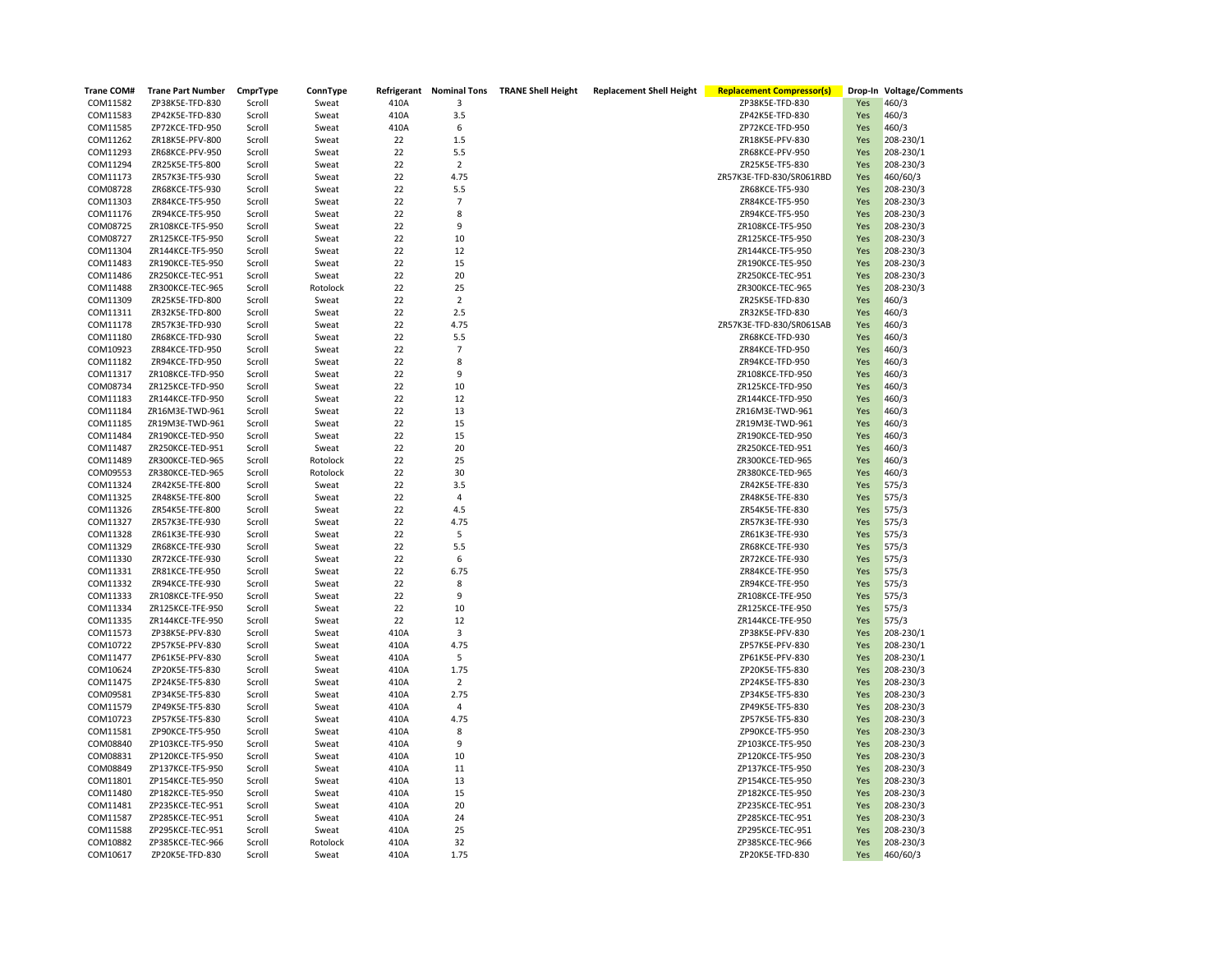| <b>Trane COM#</b>    | <b>Trane Part Number</b>           | CmprType         | ConnType       |          |                | Refrigerant Nominal Tons TRANE Shell Height | <b>Replacement Shell Height</b> | <b>Replacement Compressor(s)</b>   |            | Drop-In Voltage/Comments |
|----------------------|------------------------------------|------------------|----------------|----------|----------------|---------------------------------------------|---------------------------------|------------------------------------|------------|--------------------------|
| COM11582             | ZP38K5E-TFD-830                    | Scroll           | Sweat          | 410A     | 3              |                                             |                                 | ZP38K5E-TFD-830                    | Yes        | 460/3                    |
| COM11583             | ZP42K5E-TFD-830                    | Scroll           | Sweat          | 410A     | 3.5            |                                             |                                 | ZP42K5E-TFD-830                    | Yes        | 460/3                    |
| COM11585             | ZP72KCE-TFD-950                    | Scroll           | Sweat          | 410A     | 6              |                                             |                                 | ZP72KCE-TFD-950                    | Yes        | 460/3                    |
| COM11262             | ZR18K5E-PFV-800                    | Scroll           | Sweat          | 22       | 1.5            |                                             |                                 | ZR18K5E-PFV-830                    | Yes        | 208-230/1                |
| COM11293             | ZR68KCE-PFV-950                    | Scroll           | Sweat          | 22       | 5.5            |                                             |                                 | ZR68KCE-PFV-950                    | Yes        | 208-230/1                |
| COM11294             | ZR25K5E-TF5-800                    | Scroll           | Sweat          | 22       | $\overline{2}$ |                                             |                                 | ZR25K5E-TF5-830                    | Yes        | 208-230/3                |
| COM11173             | ZR57K3E-TF5-930                    | Scroll           | Sweat          | 22       | 4.75           |                                             |                                 | ZR57K3E-TFD-830/SR061RBD           | Yes        | 460/60/3                 |
| COM08728             | ZR68KCE-TF5-930                    | Scroll           | Sweat          | 22       | 5.5            |                                             |                                 | ZR68KCE-TF5-930                    | Yes        | 208-230/3                |
| COM11303             | ZR84KCE-TF5-950                    | Scroll           | Sweat          | 22       | $\overline{7}$ |                                             |                                 | ZR84KCE-TF5-950                    | Yes        | 208-230/3                |
| COM11176             | ZR94KCE-TF5-950                    | Scroll           | Sweat          | 22       | 8              |                                             |                                 | ZR94KCE-TF5-950                    | Yes        | 208-230/3                |
| COM08725             | ZR108KCE-TF5-950                   | Scroll           | Sweat          | 22       | 9              |                                             |                                 | ZR108KCE-TF5-950                   | Yes        | 208-230/3                |
| COM08727             | ZR125KCE-TF5-950                   | Scroll           | Sweat          | 22       | 10             |                                             |                                 | ZR125KCE-TF5-950                   | Yes        | 208-230/3                |
| COM11304             | ZR144KCE-TF5-950                   | Scroll           | Sweat          | 22       | 12             |                                             |                                 | ZR144KCE-TF5-950                   | Yes        | 208-230/3                |
| COM11483             | ZR190KCE-TE5-950                   | Scroll           | Sweat          | 22       | 15             |                                             |                                 | ZR190KCE-TE5-950                   | Yes        | 208-230/3                |
| COM11486             | ZR250KCE-TEC-951                   | Scroll           | Sweat          | 22       | 20             |                                             |                                 | ZR250KCE-TEC-951                   | Yes        | 208-230/3                |
| COM11488             | ZR300KCE-TEC-965                   | Scroll           | Rotolock       | 22       | 25             |                                             |                                 | ZR300KCE-TEC-965                   | Yes        | 208-230/3                |
| COM11309             | ZR25K5E-TFD-800                    | Scroll           | Sweat          | 22       | $\mathbf 2$    |                                             |                                 | ZR25K5E-TFD-830                    | Yes        | 460/3                    |
| COM11311             | ZR32K5E-TFD-800                    | Scroll           | Sweat          | 22       | 2.5            |                                             |                                 | ZR32K5E-TFD-830                    | Yes        | 460/3                    |
| COM11178             | ZR57K3E-TFD-930                    | Scroll           | Sweat          | 22       | 4.75           |                                             |                                 | ZR57K3E-TFD-830/SR061SAB           | Yes        | 460/3                    |
| COM11180             | ZR68KCE-TFD-930                    | Scroll           | Sweat          | 22       | 5.5            |                                             |                                 | ZR68KCE-TFD-930                    | Yes        | 460/3                    |
| COM10923             | ZR84KCE-TFD-950                    | Scroll           | Sweat          | 22       | $\overline{7}$ |                                             |                                 | ZR84KCE-TFD-950                    | Yes        | 460/3                    |
| COM11182             | ZR94KCE-TFD-950                    | Scroll           | Sweat          | 22       | 8              |                                             |                                 | ZR94KCE-TFD-950                    | Yes        | 460/3                    |
| COM11317             | ZR108KCE-TFD-950                   | Scroll           | Sweat          | 22       | 9              |                                             |                                 | ZR108KCE-TFD-950                   | Yes        | 460/3                    |
| COM08734             | ZR125KCE-TFD-950                   | Scroll           | Sweat          | 22       | 10             |                                             |                                 | ZR125KCE-TFD-950                   | Yes        | 460/3                    |
| COM11183             | ZR144KCE-TFD-950                   | Scroll           | Sweat          | 22       | 12             |                                             |                                 | ZR144KCE-TFD-950                   | Yes        | 460/3                    |
| COM11184             | ZR16M3E-TWD-961                    | Scroll           | Sweat          | 22       | 13             |                                             |                                 | ZR16M3E-TWD-961                    | Yes        | 460/3                    |
| COM11185             | ZR19M3E-TWD-961                    | Scroll           | Sweat          | 22       | 15             |                                             |                                 | ZR19M3E-TWD-961                    | Yes        | 460/3                    |
| COM11484             | ZR190KCE-TED-950                   | Scroll           | Sweat          | 22       | 15             |                                             |                                 | ZR190KCE-TED-950                   | Yes        | 460/3                    |
| COM11487             | ZR250KCE-TED-951                   | Scroll           | Sweat          | 22       | 20             |                                             |                                 | ZR250KCE-TED-951                   | Yes        | 460/3                    |
| COM11489             | ZR300KCE-TED-965                   | Scroll           | Rotolock       | 22       | 25             |                                             |                                 | ZR300KCE-TED-965                   | Yes        | 460/3                    |
| COM09553             | ZR380KCE-TED-965                   | Scroll           | Rotolock       | 22       | 30             |                                             |                                 | ZR380KCE-TED-965                   | Yes        | 460/3                    |
| COM11324             | ZR42K5E-TFE-800                    | Scroll           | Sweat          | 22       | 3.5            |                                             |                                 | ZR42K5E-TFE-830                    | Yes        | 575/3                    |
| COM11325             | ZR48K5E-TFE-800                    | Scroll           | Sweat          | 22       | $\overline{4}$ |                                             |                                 | ZR48K5E-TFE-830                    |            |                          |
| COM11326             |                                    |                  |                | 22       | 4.5            |                                             |                                 | ZR54K5E-TFE-830                    | Yes        | 575/3                    |
| COM11327             | ZR54K5E-TFE-800<br>ZR57K3E-TFE-930 | Scroll<br>Scroll | Sweat          | 22       | 4.75           |                                             |                                 | ZR57K3E-TFE-930                    | Yes        | 575/3<br>575/3           |
|                      |                                    |                  | Sweat          |          | 5              |                                             |                                 |                                    | Yes        |                          |
| COM11328<br>COM11329 | ZR61K3E-TFE-930<br>ZR68KCE-TFE-930 | Scroll<br>Scroll | Sweat<br>Sweat | 22<br>22 | 5.5            |                                             |                                 | ZR61K3E-TFE-930<br>ZR68KCE-TFE-930 | Yes<br>Yes | 575/3<br>575/3           |
| COM11330             | ZR72KCE-TFE-930                    | Scroll           | Sweat          | 22       | 6              |                                             |                                 | ZR72KCE-TFE-930                    |            | 575/3                    |
|                      | ZR81KCE-TFE-950                    |                  | Sweat          | 22       | 6.75           |                                             |                                 | ZR84KCE-TFE-950                    | Yes        |                          |
| COM11331             |                                    | Scroll           |                |          |                |                                             |                                 |                                    | Yes        | 575/3                    |
| COM11332             | ZR94KCE-TFE-930                    | Scroll           | Sweat          | 22       | 8              |                                             |                                 | ZR94KCE-TFE-950                    | Yes        | 575/3                    |
| COM11333             | ZR108KCE-TFE-950                   | Scroll           | Sweat          | 22       | 9              |                                             |                                 | ZR108KCE-TFE-950                   | Yes        | 575/3                    |
| COM11334             | ZR125KCE-TFE-950                   | Scroll           | Sweat          | 22       | 10             |                                             |                                 | ZR125KCE-TFE-950                   | Yes        | 575/3                    |
| COM11335             | ZR144KCE-TFE-950                   | Scroll           | Sweat          | 22       | 12             |                                             |                                 | ZR144KCE-TFE-950                   | Yes        | 575/3                    |
| COM11573             | ZP38K5E-PFV-830                    | Scroll           | Sweat          | 410A     | 3              |                                             |                                 | ZP38K5E-PFV-830                    | Yes        | 208-230/1                |
| COM10722             | ZP57K5E-PFV-830                    | Scroll           | Sweat          | 410A     | 4.75           |                                             |                                 | ZP57K5E-PFV-830                    | Yes        | 208-230/1                |
| COM11477             | ZP61K5E-PFV-830                    | Scroll           | Sweat          | 410A     | 5              |                                             |                                 | ZP61K5E-PFV-830                    | Yes        | 208-230/1                |
| COM10624             | ZP20K5E-TF5-830                    | Scroll           | Sweat          | 410A     | 1.75           |                                             |                                 | ZP20K5E-TF5-830                    | Yes        | 208-230/3                |
| COM11475             | ZP24K5E-TF5-830                    | Scroll           | Sweat          | 410A     | $\overline{2}$ |                                             |                                 | ZP24K5E-TF5-830                    | Yes        | 208-230/3                |
| COM09581             | ZP34K5E-TF5-830                    | Scroll           | Sweat          | 410A     | 2.75           |                                             |                                 | ZP34K5E-TF5-830                    | Yes        | 208-230/3                |
| COM11579             | ZP49K5E-TF5-830                    | Scroll           | Sweat          | 410A     | 4              |                                             |                                 | ZP49K5E-TF5-830                    | Yes        | 208-230/3                |
| COM10723             | ZP57K5E-TF5-830                    | Scroll           | Sweat          | 410A     | 4.75           |                                             |                                 | ZP57K5E-TF5-830                    | Yes        | 208-230/3                |
| COM11581             | ZP90KCE-TF5-950                    | Scroll           | Sweat          | 410A     | 8              |                                             |                                 | ZP90KCE-TF5-950                    | Yes        | 208-230/3                |
| COM08840             | ZP103KCE-TF5-950                   | Scroll           | Sweat          | 410A     | 9              |                                             |                                 | ZP103KCE-TF5-950                   | Yes        | 208-230/3                |
| COM08831             | ZP120KCE-TF5-950                   | Scroll           | Sweat          | 410A     | 10             |                                             |                                 | ZP120KCE-TF5-950                   | Yes        | 208-230/3                |
| COM08849             | ZP137KCE-TF5-950                   | Scroll           | Sweat          | 410A     | 11             |                                             |                                 | ZP137KCE-TF5-950                   | Yes        | 208-230/3                |
| COM11801             | ZP154KCE-TE5-950                   | Scroll           | Sweat          | 410A     | 13             |                                             |                                 | ZP154KCE-TE5-950                   | Yes        | 208-230/3                |
| COM11480             | ZP182KCE-TE5-950                   | Scroll           | Sweat          | 410A     | 15             |                                             |                                 | ZP182KCE-TE5-950                   | Yes        | 208-230/3                |
| COM11481             | ZP235KCE-TEC-951                   | Scroll           | Sweat          | 410A     | 20             |                                             |                                 | ZP235KCE-TEC-951                   | Yes        | 208-230/3                |
| COM11587             | ZP285KCE-TEC-951                   | Scroll           | Sweat          | 410A     | 24             |                                             |                                 | ZP285KCE-TEC-951                   | Yes        | 208-230/3                |
| COM11588             | ZP295KCE-TEC-951                   | Scroll           | Sweat          | 410A     | 25             |                                             |                                 | ZP295KCE-TEC-951                   | Yes        | 208-230/3                |
| COM10882             | ZP385KCE-TEC-966                   | Scroll           | Rotolock       | 410A     | 32             |                                             |                                 | ZP385KCE-TEC-966                   | Yes        | 208-230/3                |
| COM10617             | ZP20K5E-TFD-830                    | Scroll           | Sweat          | 410A     | 1.75           |                                             |                                 | ZP20K5E-TFD-830                    | Yes        | 460/60/3                 |